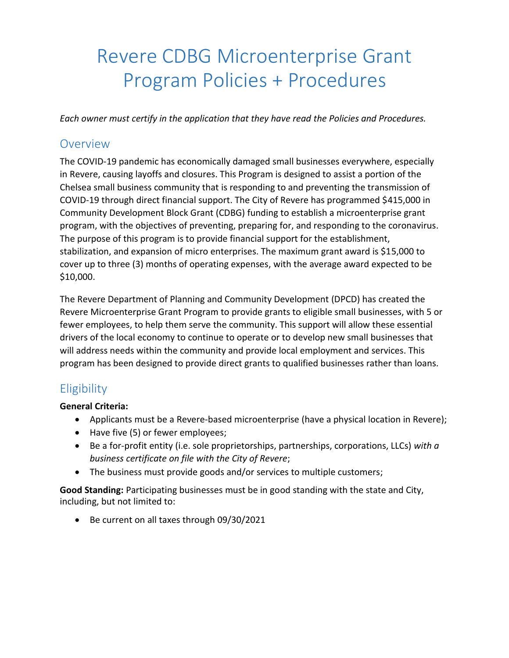# Revere CDBG Microenterprise Grant Program Policies + Procedures

*Each owner must certify in the application that they have read the Policies and Procedures.*

#### **Overview**

The COVID-19 pandemic has economically damaged small businesses everywhere, especially in Revere, causing layoffs and closures. This Program is designed to assist a portion of the Chelsea small business community that is responding to and preventing the transmission of COVID-19 through direct financial support. The City of Revere has programmed \$415,000 in Community Development Block Grant (CDBG) funding to establish a microenterprise grant program, with the objectives of preventing, preparing for, and responding to the coronavirus. The purpose of this program is to provide financial support for the establishment, stabilization, and expansion of micro enterprises. The maximum grant award is \$15,000 to cover up to three (3) months of operating expenses, with the average award expected to be \$10,000.

The Revere Department of Planning and Community Development (DPCD) has created the Revere Microenterprise Grant Program to provide grants to eligible small businesses, with 5 or fewer employees, to help them serve the community. This support will allow these essential drivers of the local economy to continue to operate or to develop new small businesses that will address needs within the community and provide local employment and services. This program has been designed to provide direct grants to qualified businesses rather than loans.

# **Eligibility**

#### **General Criteria:**

- Applicants must be a Revere-based microenterprise (have a physical location in Revere);
- Have five (5) or fewer employees;
- Be a for-profit entity (i.e. sole proprietorships, partnerships, corporations, LLCs) *with a business certificate on file with the City of Revere*;
- The business must provide goods and/or services to multiple customers;

**Good Standing:** Participating businesses must be in good standing with the state and City, including, but not limited to:

• Be current on all taxes through 09/30/2021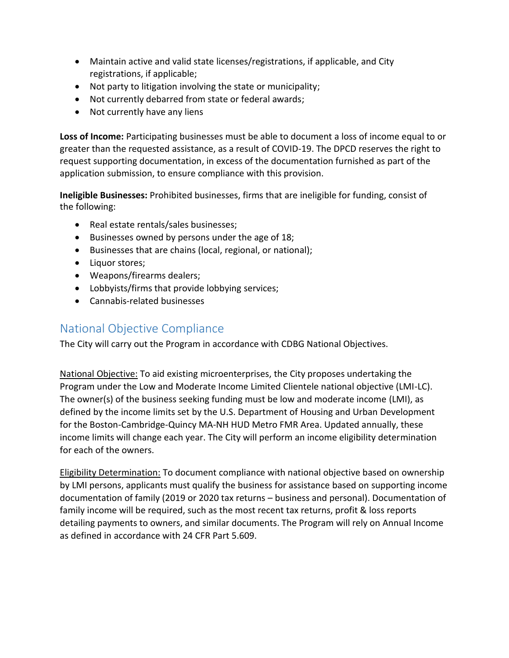- Maintain active and valid state licenses/registrations, if applicable, and City registrations, if applicable;
- Not party to litigation involving the state or municipality;
- Not currently debarred from state or federal awards;
- Not currently have any liens

**Loss of Income:** Participating businesses must be able to document a loss of income equal to or greater than the requested assistance, as a result of COVID-19. The DPCD reserves the right to request supporting documentation, in excess of the documentation furnished as part of the application submission, to ensure compliance with this provision.

**Ineligible Businesses:** Prohibited businesses, firms that are ineligible for funding, consist of the following:

- Real estate rentals/sales businesses;
- Businesses owned by persons under the age of 18;
- Businesses that are chains (local, regional, or national);
- Liquor stores;
- Weapons/firearms dealers;
- Lobbyists/firms that provide lobbying services;
- Cannabis-related businesses

## National Objective Compliance

The City will carry out the Program in accordance with CDBG National Objectives.

National Objective: To aid existing microenterprises, the City proposes undertaking the Program under the Low and Moderate Income Limited Clientele national objective (LMI-LC). The owner(s) of the business seeking funding must be low and moderate income (LMI), as defined by the income limits set by the U.S. Department of Housing and Urban Development for the Boston-Cambridge-Quincy MA-NH HUD Metro FMR Area. Updated annually, these income limits will change each year. The City will perform an income eligibility determination for each of the owners.

Eligibility Determination: To document compliance with national objective based on ownership by LMI persons, applicants must qualify the business for assistance based on supporting income documentation of family (2019 or 2020 tax returns – business and personal). Documentation of family income will be required, such as the most recent tax returns, profit & loss reports detailing payments to owners, and similar documents. The Program will rely on Annual Income as defined in accordance with 24 CFR Part 5.609.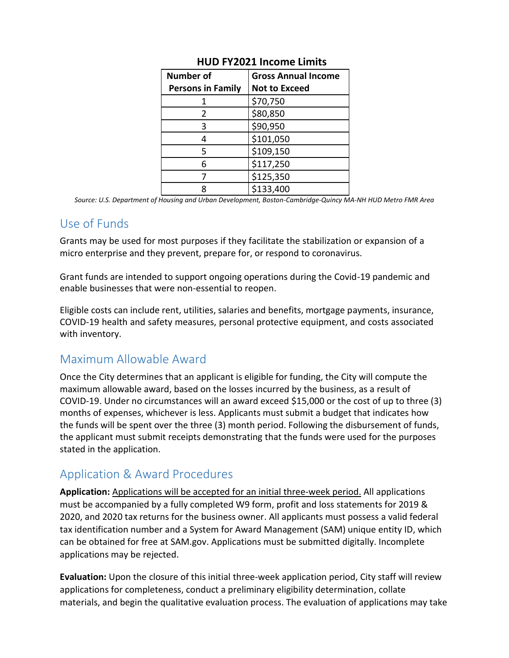| <b>Number of</b>         | <b>Gross Annual Income</b> |
|--------------------------|----------------------------|
| <b>Persons in Family</b> | <b>Not to Exceed</b>       |
|                          | \$70,750                   |
| 2                        | \$80,850                   |
| 3                        | \$90,950                   |
| Δ                        | \$101,050                  |
| 5                        | \$109,150                  |
| 6                        | \$117,250                  |
|                          | \$125,350                  |
|                          | \$133,400                  |

#### **HUD FY2021 Income Limits**

*Source: U.S. Department of Housing and Urban Development, Boston-Cambridge-Quincy MA-NH HUD Metro FMR Area*

### Use of Funds

Grants may be used for most purposes if they facilitate the stabilization or expansion of a micro enterprise and they prevent, prepare for, or respond to coronavirus.

Grant funds are intended to support ongoing operations during the Covid-19 pandemic and enable businesses that were non-essential to reopen.

Eligible costs can include rent, utilities, salaries and benefits, mortgage payments, insurance, COVID-19 health and safety measures, personal protective equipment, and costs associated with inventory.

### Maximum Allowable Award

Once the City determines that an applicant is eligible for funding, the City will compute the maximum allowable award, based on the losses incurred by the business, as a result of COVID-19. Under no circumstances will an award exceed \$15,000 or the cost of up to three (3) months of expenses, whichever is less. Applicants must submit a budget that indicates how the funds will be spent over the three (3) month period. Following the disbursement of funds, the applicant must submit receipts demonstrating that the funds were used for the purposes stated in the application.

# Application & Award Procedures

**Application:** Applications will be accepted for an initial three-week period. All applications must be accompanied by a fully completed W9 form, profit and loss statements for 2019 & 2020, and 2020 tax returns for the business owner. All applicants must possess a valid federal tax identification number and a System for Award Management (SAM) unique entity ID, which can be obtained for free at SAM.gov. Applications must be submitted digitally. Incomplete applications may be rejected.

**Evaluation:** Upon the closure of this initial three-week application period, City staff will review applications for completeness, conduct a preliminary eligibility determination, collate materials, and begin the qualitative evaluation process. The evaluation of applications may take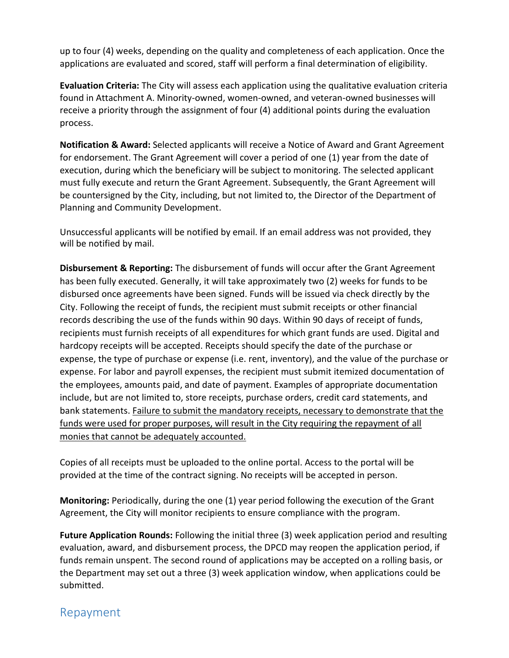up to four (4) weeks, depending on the quality and completeness of each application. Once the applications are evaluated and scored, staff will perform a final determination of eligibility.

**Evaluation Criteria:** The City will assess each application using the qualitative evaluation criteria found in Attachment A. Minority-owned, women-owned, and veteran-owned businesses will receive a priority through the assignment of four (4) additional points during the evaluation process.

**Notification & Award:** Selected applicants will receive a Notice of Award and Grant Agreement for endorsement. The Grant Agreement will cover a period of one (1) year from the date of execution, during which the beneficiary will be subject to monitoring. The selected applicant must fully execute and return the Grant Agreement. Subsequently, the Grant Agreement will be countersigned by the City, including, but not limited to, the Director of the Department of Planning and Community Development.

Unsuccessful applicants will be notified by email. If an email address was not provided, they will be notified by mail.

**Disbursement & Reporting:** The disbursement of funds will occur after the Grant Agreement has been fully executed. Generally, it will take approximately two (2) weeks for funds to be disbursed once agreements have been signed. Funds will be issued via check directly by the City. Following the receipt of funds, the recipient must submit receipts or other financial records describing the use of the funds within 90 days. Within 90 days of receipt of funds, recipients must furnish receipts of all expenditures for which grant funds are used. Digital and hardcopy receipts will be accepted. Receipts should specify the date of the purchase or expense, the type of purchase or expense (i.e. rent, inventory), and the value of the purchase or expense. For labor and payroll expenses, the recipient must submit itemized documentation of the employees, amounts paid, and date of payment. Examples of appropriate documentation include, but are not limited to, store receipts, purchase orders, credit card statements, and bank statements. Failure to submit the mandatory receipts, necessary to demonstrate that the funds were used for proper purposes, will result in the City requiring the repayment of all monies that cannot be adequately accounted.

Copies of all receipts must be uploaded to the online portal. Access to the portal will be provided at the time of the contract signing. No receipts will be accepted in person.

**Monitoring:** Periodically, during the one (1) year period following the execution of the Grant Agreement, the City will monitor recipients to ensure compliance with the program.

**Future Application Rounds:** Following the initial three (3) week application period and resulting evaluation, award, and disbursement process, the DPCD may reopen the application period, if funds remain unspent. The second round of applications may be accepted on a rolling basis, or the Department may set out a three (3) week application window, when applications could be submitted.

#### Repayment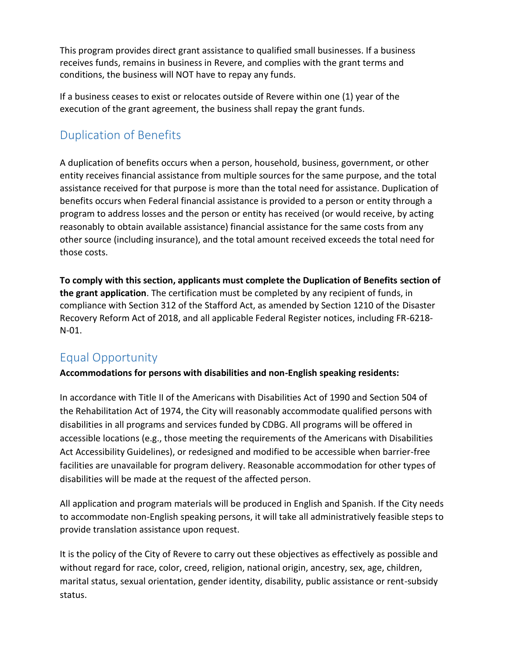This program provides direct grant assistance to qualified small businesses. If a business receives funds, remains in business in Revere, and complies with the grant terms and conditions, the business will NOT have to repay any funds.

If a business ceases to exist or relocates outside of Revere within one (1) year of the execution of the grant agreement, the business shall repay the grant funds.

# Duplication of Benefits

A duplication of benefits occurs when a person, household, business, government, or other entity receives financial assistance from multiple sources for the same purpose, and the total assistance received for that purpose is more than the total need for assistance. Duplication of benefits occurs when Federal financial assistance is provided to a person or entity through a program to address losses and the person or entity has received (or would receive, by acting reasonably to obtain available assistance) financial assistance for the same costs from any other source (including insurance), and the total amount received exceeds the total need for those costs.

**To comply with this section, applicants must complete the Duplication of Benefits section of the grant application**. The certification must be completed by any recipient of funds, in compliance with Section 312 of the Stafford Act, as amended by Section 1210 of the Disaster Recovery Reform Act of 2018, and all applicable Federal Register notices, including FR-6218- N-01.

# Equal Opportunity

**Accommodations for persons with disabilities and non-English speaking residents:**

In accordance with Title II of the Americans with Disabilities Act of 1990 and Section 504 of the Rehabilitation Act of 1974, the City will reasonably accommodate qualified persons with disabilities in all programs and services funded by CDBG. All programs will be offered in accessible locations (e.g., those meeting the requirements of the Americans with Disabilities Act Accessibility Guidelines), or redesigned and modified to be accessible when barrier-free facilities are unavailable for program delivery. Reasonable accommodation for other types of disabilities will be made at the request of the affected person.

All application and program materials will be produced in English and Spanish. If the City needs to accommodate non-English speaking persons, it will take all administratively feasible steps to provide translation assistance upon request.

It is the policy of the City of Revere to carry out these objectives as effectively as possible and without regard for race, color, creed, religion, national origin, ancestry, sex, age, children, marital status, sexual orientation, gender identity, disability, public assistance or rent-subsidy status.